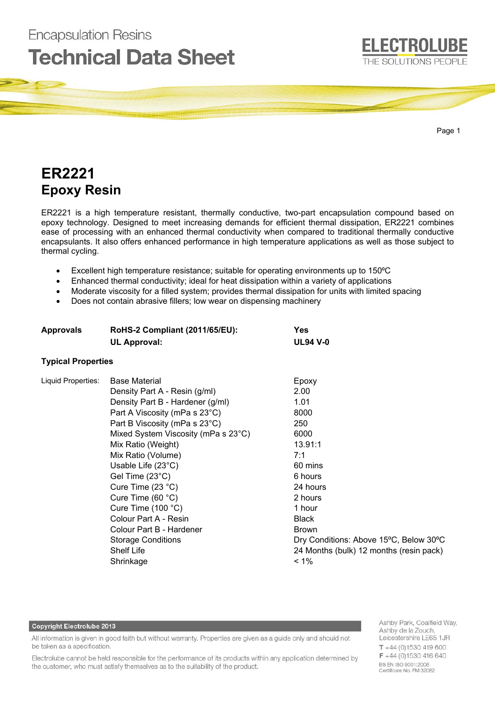

# **ER2221 Epoxy Resin**

**Encapsulation Resins** 

ER2221 is a high temperature resistant, thermally conductive, two-part encapsulation compound based on epoxy technology. Designed to meet increasing demands for efficient thermal dissipation, ER2221 combines ease of processing with an enhanced thermal conductivity when compared to traditional thermally conductive encapsulants. It also offers enhanced performance in high temperature applications as well as those subject to thermal cycling.

- Excellent high temperature resistance; suitable for operating environments up to 150°C
- Enhanced thermal conductivity; ideal for heat dissipation within a variety of applications
- Moderate viscosity for a filled system; provides thermal dissipation for units with limited spacing
- Does not contain abrasive fillers; low wear on dispensing machinery

| <b>RoHS-2 Compliant (2011/65/EU):</b> | <b>Yes</b>                                       |
|---------------------------------------|--------------------------------------------------|
|                                       | <b>UL94 V-0</b>                                  |
|                                       |                                                  |
| <b>Base Material</b>                  | Epoxy                                            |
| Density Part A - Resin (g/ml)         | 2.00                                             |
| Density Part B - Hardener (g/ml)      | 1.01                                             |
| Part A Viscosity (mPa s 23°C)         | 8000                                             |
| Part B Viscosity (mPa s 23°C)         | 250                                              |
| Mixed System Viscosity (mPa s 23°C)   | 6000                                             |
| Mix Ratio (Weight)                    | 13.91:1                                          |
| Mix Ratio (Volume)                    | 7:1                                              |
| Usable Life $(23^{\circ}C)$           | 60 mins                                          |
| Gel Time $(23^{\circ}C)$              | 6 hours                                          |
| Cure Time $(23 °C)$                   | 24 hours                                         |
| Cure Time $(60 °C)$                   | 2 hours                                          |
| Cure Time $(100 °C)$                  | 1 hour                                           |
| Colour Part A - Resin                 | <b>Black</b>                                     |
| Colour Part B - Hardener              | <b>Brown</b>                                     |
| <b>Storage Conditions</b>             | Dry Conditions: Above 15°C, Below 30°C           |
| <b>Shelf Life</b>                     | 24 Months (bulk) 12 months (resin pack)          |
| Shrinkage                             | $< 1\%$                                          |
|                                       | <b>UL Approval:</b><br><b>Typical Properties</b> |

## **Copyright Electrolube 2013**

All information is given in good faith but without warranty. Properties are given as a guide only and should not be taken as a specification.

Electrolube cannot be held responsible for the performance of its products within any application determined by the customer, who must satisfy themselves as to the suitability of the product.

Ashby Park, Coalfield Way, Ashby de la Zouch, Leicestershire LE65 1JR  $T + 44(0)1530419600$ F +44 (0)1530 416 640 BS EN ISO 9001:2008 Certificate No. FM 32082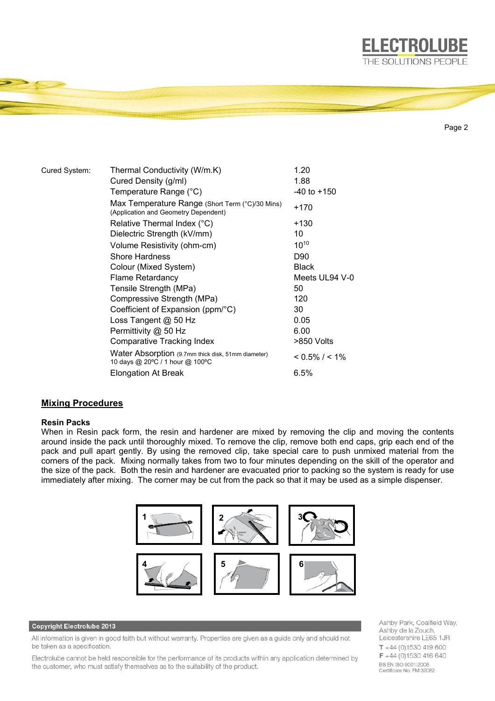

```
Page 2
```
**ELECTROLUBE** 

| Cured System: | Thermal Conductivity (W/m.K)                                                            | 1.20                |
|---------------|-----------------------------------------------------------------------------------------|---------------------|
|               | Cured Density (g/ml)                                                                    | 1.88                |
|               | Temperature Range (°C)                                                                  | $-40$ to $+150$     |
|               | Max Temperature Range (Short Term (°C)/30 Mins)<br>(Application and Geometry Dependent) | +170                |
|               | Relative Thermal Index (°C)                                                             | +130                |
|               | Dielectric Strength (kV/mm)                                                             | 10                  |
|               | Volume Resistivity (ohm-cm)                                                             | $10^{10}$           |
|               | <b>Shore Hardness</b>                                                                   | D90                 |
|               | Colour (Mixed System)                                                                   | <b>Black</b>        |
|               | <b>Flame Retardancy</b>                                                                 | Meets UL94 V-0      |
|               | Tensile Strength (MPa)                                                                  | 50                  |
|               | Compressive Strength (MPa)                                                              | 120                 |
|               | Coefficient of Expansion (ppm/°C)                                                       | 30                  |
|               | Loss Tangent @ 50 Hz                                                                    | 0.05                |
|               | Permittivity @ 50 Hz                                                                    | 6.00                |
|               | Comparative Tracking Index                                                              | >850 Volts          |
|               | Water Absorption (9.7mm thick disk, 51mm diameter)<br>10 days @ 20°C / 1 hour @ 100°C   | $< 0.5\%$ / $< 1\%$ |
|               | <b>Elongation At Break</b>                                                              | 6.5%                |

# **Mixing Procedures**

## **Resin Packs**

When in Resin pack form, the resin and hardener are mixed by removing the clip and moving the contents around inside the pack until thoroughly mixed. To remove the clip, remove both end caps, grip each end of the pack and pull apart gently. By using the removed clip, take special care to push unmixed material from the corners of the pack. Mixing normally takes from two to four minutes depending on the skill of the operator and the size of the pack. Both the resin and hardener are evacuated prior to packing so the system is ready for use immediately after mixing. The corner may be cut from the pack so that it may be used as a simple dispenser.



## Copyright Electrolube 2013

All information is given in good faith but without warranty. Properties are given as a guide only and should not be taken as a specification.

Electrolube cannot be held responsible for the performance of its products within any application determined by the customer, who must satisfy themselves as to the suitability of the product.

Ashby Park, Coalfield Way, Ashby de la Zouch, Leicestershire LE65 1JR  $T + 44(0)1530419600$ F +44 (0)1530 416 640 BS EN ISO 9001:2008 Certificate No. FM 32082